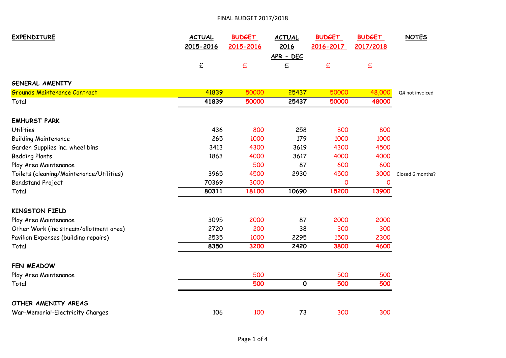## FINAL BUDGET 2017/2018

| <b>EXPENDITURE</b>                       | <b>ACTUAL</b>      | <b>BUDGET</b> | <b>ACTUAL</b>  | <b>BUDGET</b> | <b>BUDGET</b> | <b>NOTES</b>     |
|------------------------------------------|--------------------|---------------|----------------|---------------|---------------|------------------|
|                                          | 2015-2016          | 2015-2016     | 2016           | 2016-2017     | 2017/2018     |                  |
|                                          | $\pmb{\mathsf{f}}$ | £             | APR - DEC<br>£ | £             | $\mathbf f$   |                  |
| <b>GENERAL AMENITY</b>                   |                    |               |                |               |               |                  |
| <b>Grounds Maintenance Contract</b>      | 41839              | 50000         | 25437          | 50000         | 48,000        | Q4 not invoiced  |
| Total                                    | 41839              | 50000         | 25437          | 50000         | 48000         |                  |
| <b>EMHURST PARK</b>                      |                    |               |                |               |               |                  |
| <b>Utilities</b>                         | 436                | 800           | 258            | 800           | 800           |                  |
| <b>Building Maintenance</b>              | 265                | 1000          | 179            | 1000          | 1000          |                  |
| Garden Supplies inc. wheel bins          | 3413               | 4300          | 3619           | 4300          | 4500          |                  |
| <b>Bedding Plants</b>                    | 1863               | 4000          | 3617           | 4000          | 4000          |                  |
| Play Area Maintenance                    |                    | 500           | 87             | 600           | 600           |                  |
| Toilets (cleaning/Maintenance/Utilities) | 3965               | 4500          | 2930           | 4500          | 3000          | Closed 6 months? |
| <b>Bandstand Project</b>                 | 70369              | 3000          |                | 0             | 0             |                  |
| Total                                    | 80311              | 18100         | 10690          | 15200         | 13900         |                  |
| <b>KINGSTON FIELD</b>                    |                    |               |                |               |               |                  |
| Play Area Maintenance                    | 3095               | 2000          | 87             | 2000          | 2000          |                  |
| Other Work (inc stream/allotment area)   | 2720               | 200           | 38             | 300           | 300           |                  |
| Pavilion Expenses (building repairs)     | 2535               | 1000          | 2295           | 1500          | 2300          |                  |
| Total                                    | 8350               | 3200          | 2420           | 3800          | 4600          |                  |
| FEN MEADOW                               |                    |               |                |               |               |                  |
| Play Area Maintenance                    |                    | 500           |                | 500           | 500           |                  |
| Total                                    |                    | 500           | $\mathbf{o}$   | 500           | 500           |                  |
| OTHER AMENITY AREAS                      |                    |               |                |               |               |                  |
| War-Memorial-Electricity Charges         | 106                | 100           | 73             | 300           | 300           |                  |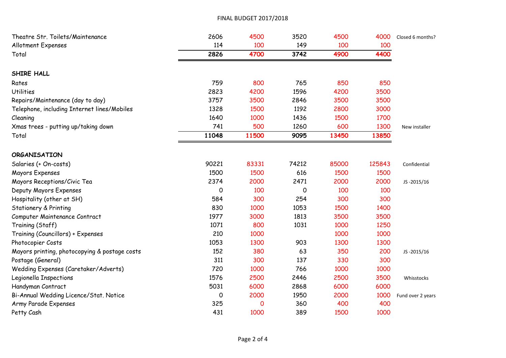## FINAL BUDGET 2017/2018

| Theatre Str. Toilets/Maintenance              | 2606  | 4500  | 3520  | 4500  | 4000   | Closed 6 months?  |
|-----------------------------------------------|-------|-------|-------|-------|--------|-------------------|
| <b>Allotment Expenses</b>                     | 114   | 100   | 149   | 100   | 100    |                   |
| Total                                         | 2826  | 4700  | 3742  | 4900  | 4400   |                   |
| SHIRE HALL                                    |       |       |       |       |        |                   |
| Rates                                         | 759   | 800   | 765   | 850   | 850    |                   |
| <b>Utilities</b>                              | 2823  | 4200  | 1596  | 4200  | 3500   |                   |
| Repairs/Maintenance (day to day)              | 3757  | 3500  | 2846  | 3500  | 3500   |                   |
| Telephone, including Internet lines/Mobiles   | 1328  | 1500  | 1192  | 2800  | 3000   |                   |
| Cleaning                                      | 1640  | 1000  | 1436  | 1500  | 1700   |                   |
| Xmas trees - putting up/taking down           | 741   | 500   | 1260  | 600   | 1300   | New installer     |
| Total                                         | 11048 | 11500 | 9095  | 13450 | 13850  |                   |
| <b>ORGANISATION</b>                           |       |       |       |       |        |                   |
| Salaries (+ On-costs)                         | 90221 | 83331 | 74212 | 85000 | 125843 | Confidential      |
| Mayors Expenses                               | 1500  | 1500  | 616   | 1500  | 1500   |                   |
| Mayors Receptions/Civic Tea                   | 2374  | 2000  | 2471  | 2000  | 2000   | JS-2015/16        |
| Deputy Mayors Expenses                        | 0     | 100   | O     | 100   | 100    |                   |
| Hospitality (other at SH)                     | 584   | 300   | 254   | 300   | 300    |                   |
| <b>Stationery &amp; Printing</b>              | 830   | 1000  | 1053  | 1500  | 1400   |                   |
| Computer Maintenance Contract                 | 1977  | 3000  | 1813  | 3500  | 3500   |                   |
| Training (Staff)                              | 1071  | 800   | 1031  | 1000  | 1250   |                   |
| Training (Councillors) + Expenses             | 210   | 1000  |       | 1000  | 1000   |                   |
| Photocopier Costs                             | 1053  | 1300  | 903   | 1300  | 1300   |                   |
| Mayors printing, photocopying & postage costs | 152   | 380   | 63    | 350   | 200    | JS-2015/16        |
| Postage (General)                             | 311   | 300   | 137   | 330   | 300    |                   |
| Wedding Expenses (Caretaker/Adverts)          | 720   | 1000  | 766   | 1000  | 1000   |                   |
| Legionella Inspections                        | 1576  | 2500  | 2446  | 2500  | 3500   | Whisstocks        |
| Handyman Contract                             | 5031  | 6000  | 2868  | 6000  | 6000   |                   |
| Bi-Annual Wedding Licence/Stat. Notice        | 0     | 2000  | 1950  | 2000  | 1000   | Fund over 2 years |
| Army Parade Expenses                          | 325   | 0     | 360   | 400   | 400    |                   |
| Petty Cash                                    | 431   | 1000  | 389   | 1500  | 1000   |                   |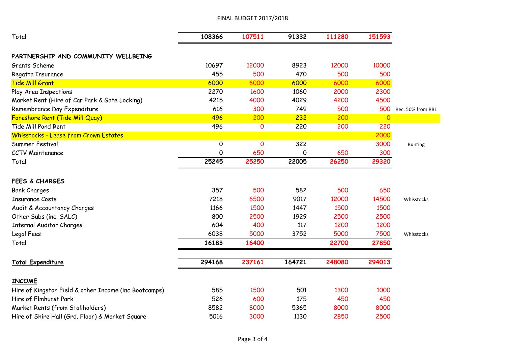## FINAL BUDGET 2017/2018

| Total                                                 | 108366 | 107511      | 91332  | 111280 | 151593  |                   |
|-------------------------------------------------------|--------|-------------|--------|--------|---------|-------------------|
| PARTNERSHIP AND COMMUNITY WELLBEING                   |        |             |        |        |         |                   |
| Grants Scheme                                         | 10697  | 12000       | 8923   | 12000  | 10000   |                   |
| Regatta Insurance                                     | 455    | 500         | 470    | 500    | 500     |                   |
| <b>Tide Mill Grant</b>                                | 6000   | 6000        | 6000   | 6000   | 6000    |                   |
| Play Area Inspections                                 | 2270   | 1600        | 1060   | 2000   | 2300    |                   |
| Market Rent (Hire of Car Park & Gate Locking)         | 4215   | 4000        | 4029   | 4200   | 4500    |                   |
| Remembrance Day Expenditure                           | 616    | 300         | 749    | 500    | 500     | Rec. 50% from RBL |
| Foreshore Rent (Tide Mill Quay)                       | 496    | 200         | 232    | 200    | $\circ$ |                   |
| Tide Mill Pond Rent                                   | 496    | $\mathbf 0$ | 220    | 200    | 220     |                   |
| Whisstocks - Lease from Crown Estates                 |        |             |        |        | 2000    |                   |
| Summer Festival                                       | 0      | $\mathbf 0$ | 322    |        | 3000    | <b>Bunting</b>    |
| <b>CCTV Maintenance</b>                               | 0      | 650         | 0      | 650    | 300     |                   |
| Total                                                 | 25245  | 25250       | 22005  | 26250  | 29320   |                   |
| <b>FEES &amp; CHARGES</b>                             |        |             |        |        |         |                   |
| <b>Bank Charges</b>                                   | 357    | 500         | 582    | 500    | 650     |                   |
| <b>Insurance Costs</b>                                | 7218   | 6500        | 9017   | 12000  | 14500   | Whisstocks        |
| Audit & Accountancy Charges                           | 1166   | 1500        | 1447   | 1500   | 1500    |                   |
| Other Subs (inc. SALC)                                | 800    | 2500        | 1929   | 2500   | 2500    |                   |
| <b>Internal Auditor Charges</b>                       | 604    | 400         | 117    | 1200   | 1200    |                   |
| Legal Fees                                            | 6038   | 5000        | 3752   | 5000   | 7500    | Whisstocks        |
| Total                                                 | 16183  | 16400       |        | 22700  | 27850   |                   |
| <b>Total Expenditure</b>                              | 294168 | 237161      | 164721 | 248080 | 294013  |                   |
| <b>INCOME</b>                                         |        |             |        |        |         |                   |
| Hire of Kingston Field & other Income (inc Bootcamps) | 585    | 1500        | 501    | 1300   | 1000    |                   |
| Hire of Elmhurst Park                                 | 526    | 600         | 175    | 450    | 450     |                   |
| Market Rents (from Stallholders)                      | 8582   | 8000        | 5365   | 8000   | 8000    |                   |
| Hire of Shire Hall (Grd. Floor) & Market Square       | 5016   | 3000        | 1130   | 2850   | 2500    |                   |